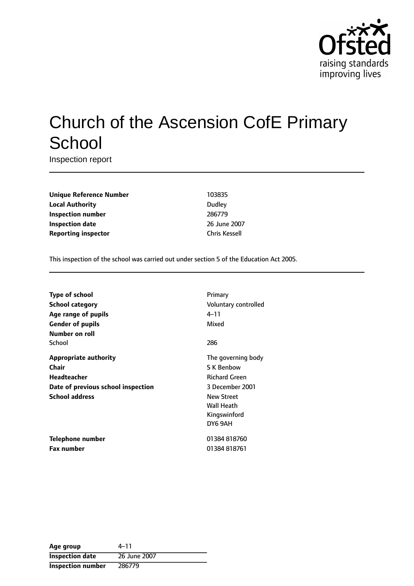

# Church of the Ascension CofE Primary **School**

Inspection report

**Unique Reference Number** 103835 **Local Authority** Dudley **Inspection number** 286779 **Inspection date** 2007 **Reporting inspector** Chris Kessell

This inspection of the school was carried out under section 5 of the Education Act 2005.

| Type of school                     | Primary              |
|------------------------------------|----------------------|
| <b>School category</b>             | Voluntary controlled |
| Age range of pupils                | 4–11                 |
| <b>Gender of pupils</b>            | Mixed                |
| Number on roll                     |                      |
| School                             | 286                  |
| <b>Appropriate authority</b>       | The governing body   |
| <b>Chair</b>                       | <b>S K Benbow</b>    |
| <b>Headteacher</b>                 | <b>Richard Green</b> |
| Date of previous school inspection | 3 December 2001      |
| <b>School address</b>              | <b>New Street</b>    |
|                                    | <b>Wall Heath</b>    |
|                                    | Kingswinford         |
|                                    | DY6 9AH              |
| Telephone number                   | 01384818760          |
| <b>Fax number</b>                  | 01384818761          |

| Age group                | 4–11         |
|--------------------------|--------------|
| <b>Inspection date</b>   | 26 June 2007 |
| <b>Inspection number</b> | 286779       |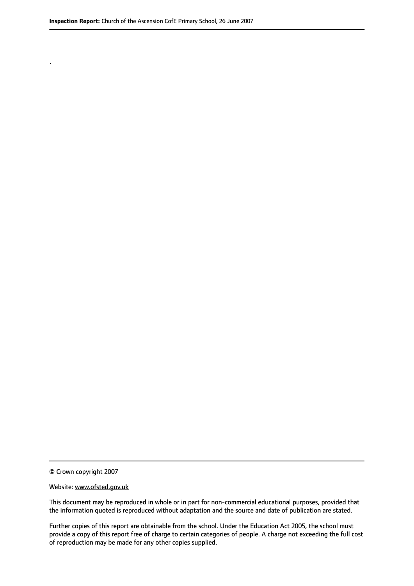.

© Crown copyright 2007

#### Website: www.ofsted.gov.uk

This document may be reproduced in whole or in part for non-commercial educational purposes, provided that the information quoted is reproduced without adaptation and the source and date of publication are stated.

Further copies of this report are obtainable from the school. Under the Education Act 2005, the school must provide a copy of this report free of charge to certain categories of people. A charge not exceeding the full cost of reproduction may be made for any other copies supplied.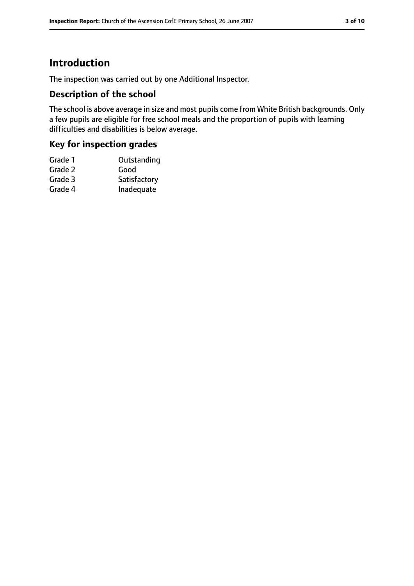# **Introduction**

The inspection was carried out by one Additional Inspector.

## **Description of the school**

The school is above average in size and most pupils come from White British backgrounds. Only a few pupils are eligible for free school meals and the proportion of pupils with learning difficulties and disabilities is below average.

## **Key for inspection grades**

| Grade 1 | Outstanding  |
|---------|--------------|
| Grade 2 | Good         |
| Grade 3 | Satisfactory |
| Grade 4 | Inadequate   |
|         |              |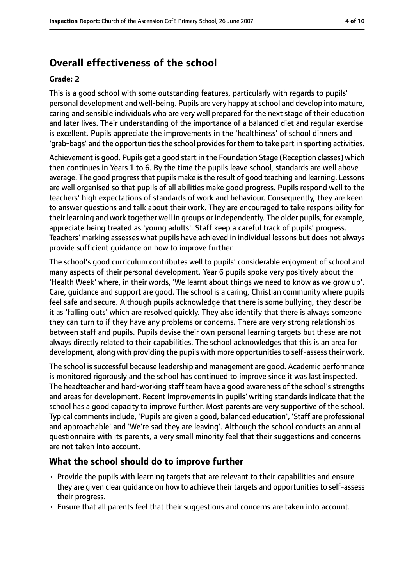# **Overall effectiveness of the school**

#### **Grade: 2**

This is a good school with some outstanding features, particularly with regards to pupils' personal development and well-being. Pupils are very happy at school and develop into mature, caring and sensible individuals who are very well prepared for the next stage of their education and later lives. Their understanding of the importance of a balanced diet and regular exercise is excellent. Pupils appreciate the improvements in the 'healthiness' of school dinners and 'grab-bags' and the opportunities the school provides for them to take part in sporting activities.

Achievement is good. Pupils get a good start in the Foundation Stage (Reception classes) which then continues in Years 1 to 6. By the time the pupils leave school, standards are well above average. The good progress that pupils make is the result of good teaching and learning. Lessons are well organised so that pupils of all abilities make good progress. Pupils respond well to the teachers' high expectations of standards of work and behaviour. Consequently, they are keen to answer questions and talk about their work. They are encouraged to take responsibility for their learning and work together well in groups or independently. The older pupils, for example, appreciate being treated as 'young adults'. Staff keep a careful track of pupils' progress. Teachers' marking assesses what pupils have achieved in individual lessons but does not always provide sufficient guidance on how to improve further.

The school's good curriculum contributes well to pupils' considerable enjoyment of school and many aspects of their personal development. Year 6 pupils spoke very positively about the 'Health Week' where, in their words, 'We learnt about things we need to know as we grow up'. Care, guidance and support are good. The school is a caring, Christian community where pupils feel safe and secure. Although pupils acknowledge that there is some bullying, they describe it as 'falling outs' which are resolved quickly. They also identify that there is always someone they can turn to if they have any problems or concerns. There are very strong relationships between staff and pupils. Pupils devise their own personal learning targets but these are not always directly related to their capabilities. The school acknowledges that this is an area for development, along with providing the pupils with more opportunities to self-assess their work.

The school is successful because leadership and management are good. Academic performance is monitored rigorously and the school has continued to improve since it was last inspected. The headteacher and hard-working staff team have a good awareness of the school's strengths and areas for development. Recent improvements in pupils' writing standards indicate that the school has a good capacity to improve further. Most parents are very supportive of the school. Typical comments include, 'Pupils are given a good, balanced education', 'Staff are professional and approachable' and 'We're sad they are leaving'. Although the school conducts an annual questionnaire with its parents, a very small minority feel that their suggestions and concerns are not taken into account.

## **What the school should do to improve further**

- Provide the pupils with learning targets that are relevant to their capabilities and ensure they are given clear guidance on how to achieve their targets and opportunities to self-assess their progress.
- Ensure that all parents feel that their suggestions and concerns are taken into account.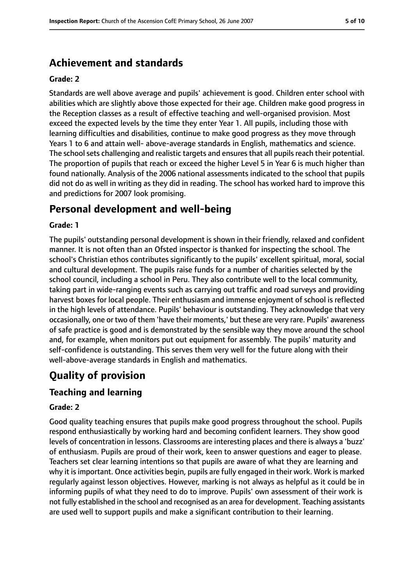# **Achievement and standards**

#### **Grade: 2**

Standards are well above average and pupils' achievement is good. Children enter school with abilities which are slightly above those expected for their age. Children make good progress in the Reception classes as a result of effective teaching and well-organised provision. Most exceed the expected levels by the time they enter Year 1. All pupils, including those with learning difficulties and disabilities, continue to make good progress as they move through Years 1 to 6 and attain well- above-average standards in English, mathematics and science. The school sets challenging and realistic targets and ensures that all pupils reach their potential. The proportion of pupils that reach or exceed the higher Level 5 in Year 6 is much higher than found nationally. Analysis of the 2006 national assessments indicated to the school that pupils did not do as well in writing as they did in reading. The school has worked hard to improve this and predictions for 2007 look promising.

# **Personal development and well-being**

#### **Grade: 1**

The pupils' outstanding personal development is shown in their friendly, relaxed and confident manner. It is not often than an Ofsted inspector is thanked for inspecting the school. The school's Christian ethos contributes significantly to the pupils' excellent spiritual, moral, social and cultural development. The pupils raise funds for a number of charities selected by the school council, including a school in Peru. They also contribute well to the local community, taking part in wide-ranging events such as carrying out traffic and road surveys and providing harvest boxes for local people. Their enthusiasm and immense enjoyment of school is reflected in the high levels of attendance. Pupils' behaviour is outstanding. They acknowledge that very occasionally, one or two of them 'have their moments,' but these are very rare. Pupils' awareness of safe practice is good and is demonstrated by the sensible way they move around the school and, for example, when monitors put out equipment for assembly. The pupils' maturity and self-confidence is outstanding. This serves them very well for the future along with their well-above-average standards in English and mathematics.

# **Quality of provision**

## **Teaching and learning**

#### **Grade: 2**

Good quality teaching ensures that pupils make good progress throughout the school. Pupils respond enthusiastically by working hard and becoming confident learners. They show good levels of concentration in lessons. Classrooms are interesting places and there is always a 'buzz' of enthusiasm. Pupils are proud of their work, keen to answer questions and eager to please. Teachers set clear learning intentions so that pupils are aware of what they are learning and why it is important. Once activities begin, pupils are fully engaged in their work. Work is marked regularly against lesson objectives. However, marking is not always as helpful as it could be in informing pupils of what they need to do to improve. Pupils' own assessment of their work is not fully established in the school and recognised as an area for development. Teaching assistants are used well to support pupils and make a significant contribution to their learning.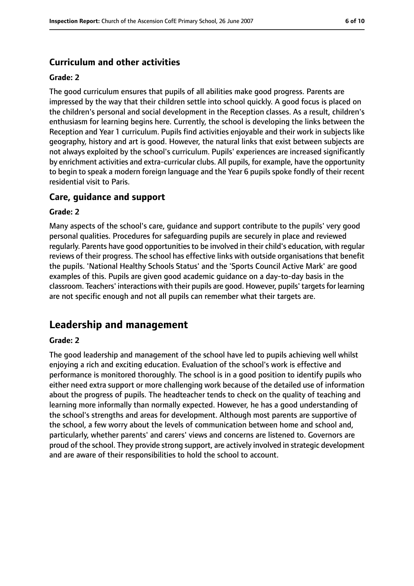## **Curriculum and other activities**

#### **Grade: 2**

The good curriculum ensures that pupils of all abilities make good progress. Parents are impressed by the way that their children settle into school quickly. A good focus is placed on the children's personal and social development in the Reception classes. As a result, children's enthusiasm for learning begins here. Currently, the school is developing the links between the Reception and Year 1 curriculum. Pupils find activities enjoyable and their work in subjects like geography, history and art is good. However, the natural links that exist between subjects are not always exploited by the school's curriculum. Pupils' experiences are increased significantly by enrichment activities and extra-curricular clubs. All pupils, for example, have the opportunity to begin to speak a modern foreign language and the Year 6 pupils spoke fondly of their recent residential visit to Paris.

#### **Care, guidance and support**

#### **Grade: 2**

Many aspects of the school's care, guidance and support contribute to the pupils' very good personal qualities. Procedures for safeguarding pupils are securely in place and reviewed regularly. Parents have good opportunities to be involved in their child's education, with regular reviews of their progress. The school has effective links with outside organisations that benefit the pupils. 'National Healthy Schools Status' and the 'Sports Council Active Mark' are good examples of this. Pupils are given good academic guidance on a day-to-day basis in the classroom. Teachers' interactions with their pupils are good. However, pupils' targets for learning are not specific enough and not all pupils can remember what their targets are.

# **Leadership and management**

#### **Grade: 2**

The good leadership and management of the school have led to pupils achieving well whilst enjoying a rich and exciting education. Evaluation of the school's work is effective and performance is monitored thoroughly. The school is in a good position to identify pupils who either need extra support or more challenging work because of the detailed use of information about the progress of pupils. The headteacher tends to check on the quality of teaching and learning more informally than normally expected. However, he has a good understanding of the school's strengths and areas for development. Although most parents are supportive of the school, a few worry about the levels of communication between home and school and, particularly, whether parents' and carers' views and concerns are listened to. Governors are proud of the school. They provide strong support, are actively involved in strategic development and are aware of their responsibilities to hold the school to account.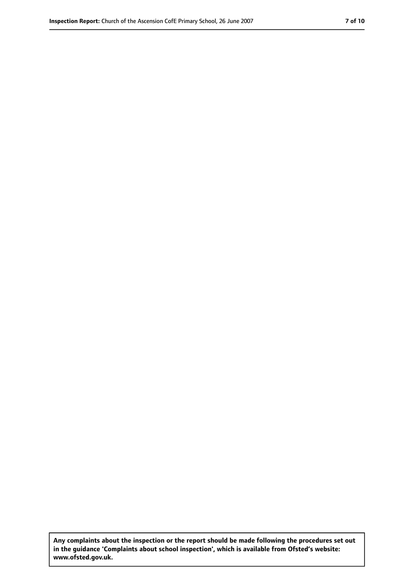**Any complaints about the inspection or the report should be made following the procedures set out in the guidance 'Complaints about school inspection', which is available from Ofsted's website: www.ofsted.gov.uk.**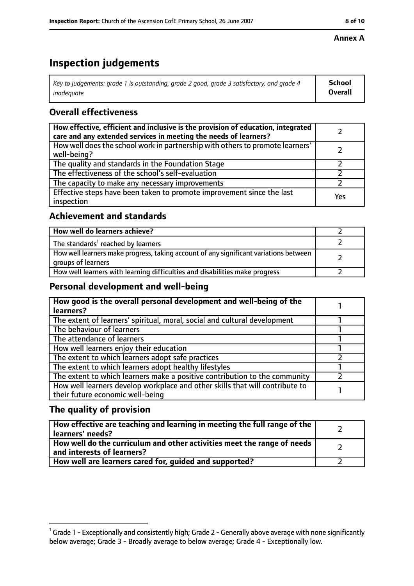#### **Annex A**

# **Inspection judgements**

| Key to judgements: grade 1 is outstanding, grade 2 good, grade 3 satisfactory, and grade 4 | <b>School</b>  |
|--------------------------------------------------------------------------------------------|----------------|
| inadequate                                                                                 | <b>Overall</b> |

# **Overall effectiveness**

| How effective, efficient and inclusive is the provision of education, integrated<br>care and any extended services in meeting the needs of learners? |     |
|------------------------------------------------------------------------------------------------------------------------------------------------------|-----|
| How well does the school work in partnership with others to promote learners'<br>well-being?                                                         |     |
| The quality and standards in the Foundation Stage                                                                                                    |     |
| The effectiveness of the school's self-evaluation                                                                                                    |     |
| The capacity to make any necessary improvements                                                                                                      |     |
| Effective steps have been taken to promote improvement since the last<br>inspection                                                                  | Yes |

## **Achievement and standards**

| How well do learners achieve?                                                                               |  |
|-------------------------------------------------------------------------------------------------------------|--|
| The standards <sup>1</sup> reached by learners                                                              |  |
| How well learners make progress, taking account of any significant variations between<br>groups of learners |  |
| How well learners with learning difficulties and disabilities make progress                                 |  |

## **Personal development and well-being**

| How good is the overall personal development and well-being of the           |  |
|------------------------------------------------------------------------------|--|
| learners?                                                                    |  |
| The extent of learners' spiritual, moral, social and cultural development    |  |
| The behaviour of learners                                                    |  |
| The attendance of learners                                                   |  |
| How well learners enjoy their education                                      |  |
| The extent to which learners adopt safe practices                            |  |
| The extent to which learners adopt healthy lifestyles                        |  |
| The extent to which learners make a positive contribution to the community   |  |
| How well learners develop workplace and other skills that will contribute to |  |
| their future economic well-being                                             |  |

# **The quality of provision**

| How effective are teaching and learning in meeting the full range of the<br>learners' needs?          |  |
|-------------------------------------------------------------------------------------------------------|--|
| How well do the curriculum and other activities meet the range of needs<br>and interests of learners? |  |
| How well are learners cared for, quided and supported?                                                |  |

 $^1$  Grade 1 - Exceptionally and consistently high; Grade 2 - Generally above average with none significantly below average; Grade 3 - Broadly average to below average; Grade 4 - Exceptionally low.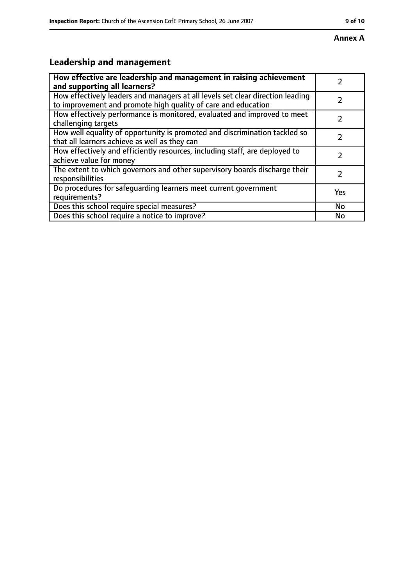#### **Annex A**

# **Leadership and management**

| How effective are leadership and management in raising achievement<br>and supporting all learners?                                              |     |
|-------------------------------------------------------------------------------------------------------------------------------------------------|-----|
| How effectively leaders and managers at all levels set clear direction leading<br>to improvement and promote high quality of care and education |     |
| How effectively performance is monitored, evaluated and improved to meet<br>challenging targets                                                 |     |
| How well equality of opportunity is promoted and discrimination tackled so<br>that all learners achieve as well as they can                     |     |
| How effectively and efficiently resources, including staff, are deployed to<br>achieve value for money                                          | 7   |
| The extent to which governors and other supervisory boards discharge their<br>responsibilities                                                  | 7   |
| Do procedures for safequarding learners meet current government<br>requirements?                                                                | Yes |
| Does this school require special measures?                                                                                                      | No  |
| Does this school require a notice to improve?                                                                                                   | No  |